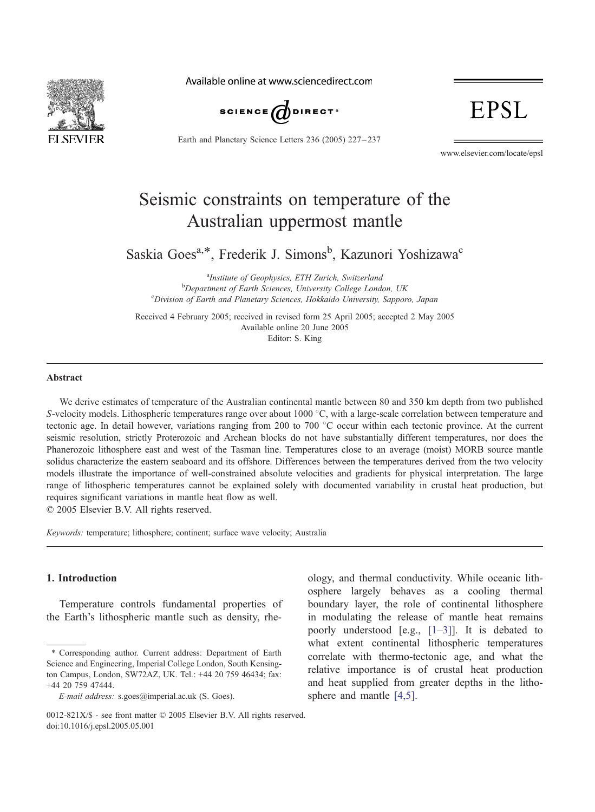

Available online at www.sciencedirect.com



Earth and Planetary Science Letters 236 (2005) 227 – 237

# EPSL

www.elsevier.com/locate/epsl

# Seismic constraints on temperature of the Australian uppermost mantle

Saskia Goes<sup>a,\*</sup>, Frederik J. Simons<sup>b</sup>, Kazunori Yoshizawa<sup>c</sup>

<sup>a</sup> Institute of Geophysics, ETH Zurich, Switzerland<br><sup>b</sup> Department of Earth Sciences, University College Land  $b$ Department of Earth Sciences, University College London, UK Division of Earth and Planetary Sciences, Hokkaido University, Sapporo, Japan

Received 4 February 2005; received in revised form 25 April 2005; accepted 2 May 2005 Available online 20 June 2005 Editor: S. King

# Abstract

We derive estimates of temperature of the Australian continental mantle between 80 and 350 km depth from two published S-velocity models. Lithospheric temperatures range over about 1000  $^{\circ}$ C, with a large-scale correlation between temperature and tectonic age. In detail however, variations ranging from 200 to 700  $^{\circ}$ C occur within each tectonic province. At the current seismic resolution, strictly Proterozoic and Archean blocks do not have substantially different temperatures, nor does the Phanerozoic lithosphere east and west of the Tasman line. Temperatures close to an average (moist) MORB source mantle solidus characterize the eastern seaboard and its offshore. Differences between the temperatures derived from the two velocity models illustrate the importance of well-constrained absolute velocities and gradients for physical interpretation. The large range of lithospheric temperatures cannot be explained solely with documented variability in crustal heat production, but requires significant variations in mantle heat flow as well.

 $© 2005 Elsevier B.V. All rights reserved.$ 

Keywords: temperature; lithosphere; continent; surface wave velocity; Australia

### 1. Introduction

Temperature controls fundamental properties of the Earth's lithospheric mantle such as density, rhe-

<sup>\*</sup> Corresponding author. Current address: Department of Earth Science and Engineering, Imperial College London, South Kensington Campus, London, SW72AZ, UK. Tel.: +44 20 759 46434; fax: +44 20 759 47444.

E-mail address: s.goes@imperial.ac.uk (S. Goes).

ology, and thermal conductivity. While oceanic lithosphere largely behaves as a cooling thermal boundary layer, the role of continental lithosphere in modulating the release of mantle heat remains poorly understood [e.g., [\[1–3\]\]](#page-9-0). It is debated to what extent continental lithospheric temperatures correlate with thermo-tectonic age, and what the relative importance is of crustal heat production and heat supplied from greater depths in the lithosphere and mantle [\[4,5\].](#page-9-0)

<sup>0012-821</sup> $X/S$  - see front matter  $\odot$  2005 Elsevier B.V. All rights reserved. doi:10.1016/j.epsl.2005.05.001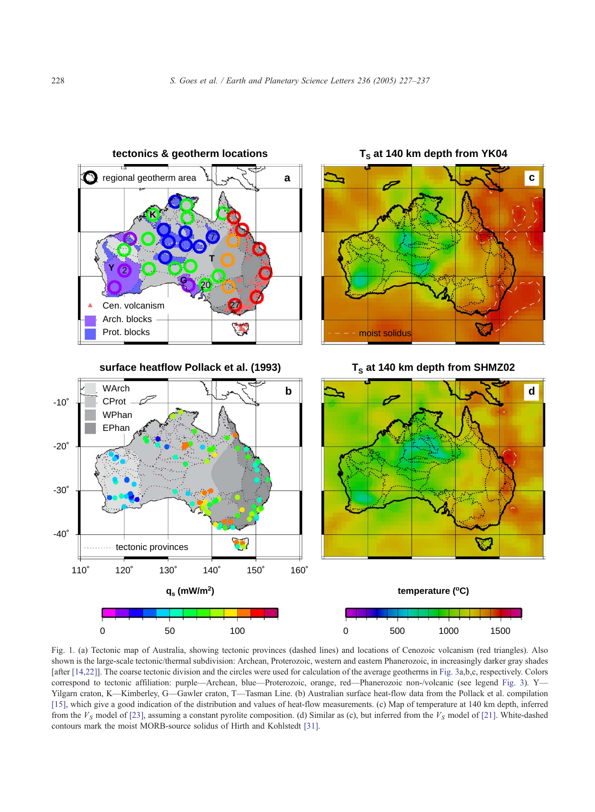<span id="page-1-0"></span>

Fig. 1. (a) Tectonic map of Australia, showing tectonic provinces (dashed lines) and locations of Cenozoic volcanism (red triangles). Also shown is the large-scale tectonic/thermal subdivision: Archean, Proterozoic, western and eastern Phanerozoic, in increasingly darker gray shades [after [\[14,22\]\]](#page-9-0). The coarse tectonic division and the circles were used for calculation of the average geotherms in [Fig. 3a](#page-4-0),b,c, respectively. Colors correspond to tectonic affiliation: purple—Archean, blue—Proterozoic, orange, red—Phanerozoic non-/volcanic (see legend [Fig. 3\)](#page-4-0). Y— Yilgarn craton, K—Kimberley, G—Gawler craton, T—Tasman Line. (b) Australian surface heat-flow data from the Pollack et al. compilation [\[15\]](#page-9-0), which give a good indication of the distribution and values of heat-flow measurements. (c) Map of temperature at 140 km depth, inferred from the  $V_S$  model of [\[23\],](#page-9-0) assuming a constant pyrolite composition. (d) Similar as (c), but inferred from the  $V_S$  model of [\[21\].](#page-9-0) White-dashed contours mark the moist MORB-source solidus of Hirth and Kohlstedt [\[31\].](#page-10-0)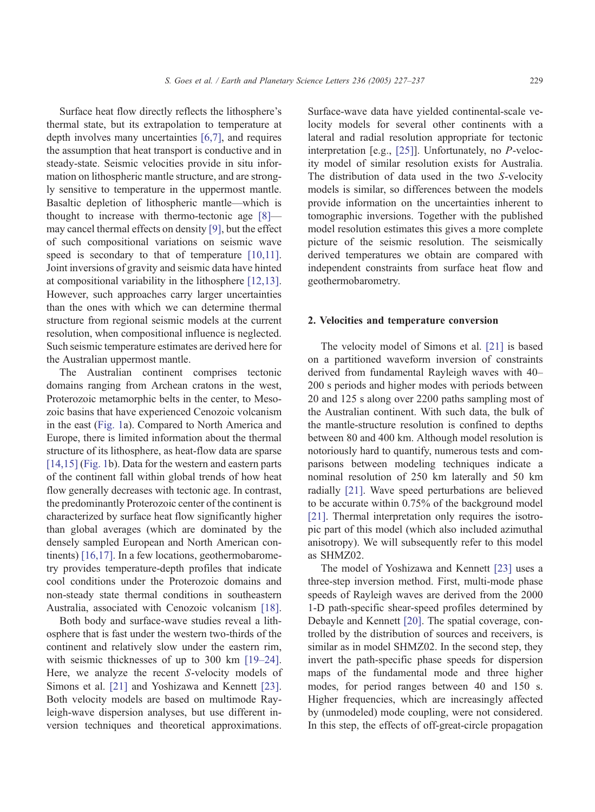Surface heat flow directly reflects the lithosphere's thermal state, but its extrapolation to temperature at depth involves many uncertainties [\[6,7\],](#page-9-0) and requires the assumption that heat transport is conductive and in steady-state. Seismic velocities provide in situ information on lithospheric mantle structure, and are strongly sensitive to temperature in the uppermost mantle. Basaltic depletion of lithospheric mantle—which is thought to increase with thermo-tectonic age [\[8\]](#page-9-0) may cancel thermal effects on density [\[9\],](#page-9-0) but the effect of such compositional variations on seismic wave speed is secondary to that of temperature [\[10,11\].](#page-9-0) Joint inversions of gravity and seismic data have hinted at compositional variability in the lithosphere [\[12,13\].](#page-9-0) However, such approaches carry larger uncertainties than the ones with which we can determine thermal structure from regional seismic models at the current resolution, when compositional influence is neglected. Such seismic temperature estimates are derived here for the Australian uppermost mantle.

The Australian continent comprises tectonic domains ranging from Archean cratons in the west, Proterozoic metamorphic belts in the center, to Mesozoic basins that have experienced Cenozoic volcanism in the east ([Fig. 1a](#page-1-0)). Compared to North America and Europe, there is limited information about the thermal structure of its lithosphere, as heat-flow data are sparse [\[14,15\]](#page-9-0) ([Fig. 1b](#page-1-0)). Data for the western and eastern parts of the continent fall within global trends of how heat flow generally decreases with tectonic age. In contrast, the predominantly Proterozoic center of the continent is characterized by surface heat flow significantly higher than global averages (which are dominated by the densely sampled European and North American continents) [\[16,17\].](#page-9-0) In a few locations, geothermobarometry provides temperature-depth profiles that indicate cool conditions under the Proterozoic domains and non-steady state thermal conditions in southeastern Australia, associated with Cenozoic volcanism [\[18\].](#page-9-0)

Both body and surface-wave studies reveal a lithosphere that is fast under the western two-thirds of the continent and relatively slow under the eastern rim, with seismic thicknesses of up to 300 km [\[19–24\].](#page-9-0) Here, we analyze the recent S-velocity models of Simons et al. [\[21\]](#page-9-0) and Yoshizawa and Kennett [\[23\].](#page-9-0) Both velocity models are based on multimode Rayleigh-wave dispersion analyses, but use different inversion techniques and theoretical approximations.

Surface-wave data have yielded continental-scale velocity models for several other continents with a lateral and radial resolution appropriate for tectonic interpretation [e.g., [\[25\]\]](#page-9-0). Unfortunately, no P-velocity model of similar resolution exists for Australia. The distribution of data used in the two S-velocity models is similar, so differences between the models provide information on the uncertainties inherent to tomographic inversions. Together with the published model resolution estimates this gives a more complete picture of the seismic resolution. The seismically derived temperatures we obtain are compared with independent constraints from surface heat flow and geothermobarometry.

# 2. Velocities and temperature conversion

The velocity model of Simons et al. [\[21\]](#page-9-0) is based on a partitioned waveform inversion of constraints derived from fundamental Rayleigh waves with 40– 200 s periods and higher modes with periods between 20 and 125 s along over 2200 paths sampling most of the Australian continent. With such data, the bulk of the mantle-structure resolution is confined to depths between 80 and 400 km. Although model resolution is notoriously hard to quantify, numerous tests and comparisons between modeling techniques indicate a nominal resolution of 250 km laterally and 50 km radially [\[21\].](#page-9-0) Wave speed perturbations are believed to be accurate within 0.75% of the background model [\[21\].](#page-9-0) Thermal interpretation only requires the isotropic part of this model (which also included azimuthal anisotropy). We will subsequently refer to this model as SHMZ02.

The model of Yoshizawa and Kennett [\[23\]](#page-9-0) uses a three-step inversion method. First, multi-mode phase speeds of Rayleigh waves are derived from the 2000 1-D path-specific shear-speed profiles determined by Debayle and Kennett [\[20\].](#page-9-0) The spatial coverage, controlled by the distribution of sources and receivers, is similar as in model SHMZ02. In the second step, they invert the path-specific phase speeds for dispersion maps of the fundamental mode and three higher modes, for period ranges between 40 and 150 s. Higher frequencies, which are increasingly affected by (unmodeled) mode coupling, were not considered. In this step, the effects of off-great-circle propagation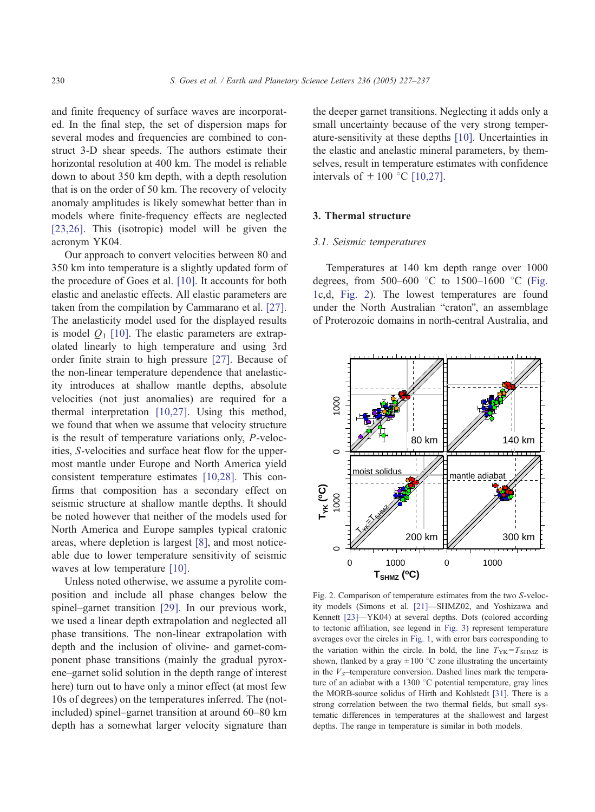<span id="page-3-0"></span>and finite frequency of surface waves are incorporated. In the final step, the set of dispersion maps for several modes and frequencies are combined to construct 3-D shear speeds. The authors estimate their horizontal resolution at 400 km. The model is reliable down to about 350 km depth, with a depth resolution that is on the order of 50 km. The recovery of velocity anomaly amplitudes is likely somewhat better than in models where finite-frequency effects are neglected [\[23,26\]](#page-9-0). This (isotropic) model will be given the acronym YK04.

Our approach to convert velocities between 80 and 350 km into temperature is a slightly updated form of the procedure of Goes et al. [\[10\].](#page-9-0) It accounts for both elastic and anelastic effects. All elastic parameters are taken from the compilation by Cammarano et al. [\[27\].](#page-10-0) The anelasticity model used for the displayed results is model  $Q_1$  [\[10\].](#page-9-0) The elastic parameters are extrapolated linearly to high temperature and using 3rd order finite strain to high pressure [\[27\].](#page-10-0) Because of the non-linear temperature dependence that anelasticity introduces at shallow mantle depths, absolute velocities (not just anomalies) are required for a thermal interpretation [\[10,27\].](#page-9-0) Using this method, we found that when we assume that velocity structure is the result of temperature variations only, P-velocities, S-velocities and surface heat flow for the uppermost mantle under Europe and North America yield consistent temperature estimates [\[10,28\].](#page-9-0) This confirms that composition has a secondary effect on seismic structure at shallow mantle depths. It should be noted however that neither of the models used for North America and Europe samples typical cratonic areas, where depletion is largest [\[8\],](#page-9-0) and most noticeable due to lower temperature sensitivity of seismic waves at low temperature [\[10\].](#page-9-0)

Unless noted otherwise, we assume a pyrolite composition and include all phase changes below the spinel–garnet transition [\[29\].](#page-10-0) In our previous work, we used a linear depth extrapolation and neglected all phase transitions. The non-linear extrapolation with depth and the inclusion of olivine- and garnet-component phase transitions (mainly the gradual pyroxene–garnet solid solution in the depth range of interest here) turn out to have only a minor effect (at most few 10s of degrees) on the temperatures inferred. The (notincluded) spinel–garnet transition at around 60–80 km depth has a somewhat larger velocity signature than the deeper garnet transitions. Neglecting it adds only a small uncertainty because of the very strong temperature-sensitivity at these depths [\[10\].](#page-9-0) Uncertainties in the elastic and anelastic mineral parameters, by themselves, result in temperature estimates with confidence intervals of  $\pm 100$  °C [\[10,27\].](#page-9-0)

#### 3. Thermal structure

#### 3.1. Seismic temperatures

Temperatures at 140 km depth range over 1000 degrees, from 500-600 °C to 1500-1600 °C ([Fig.](#page-1-0) 1c,d, Fig. 2). The lowest temperatures are found under the North Australian "craton", an assemblage of Proterozoic domains in north-central Australia, and



Fig. 2. Comparison of temperature estimates from the two S-velocity models (Simons et al. [\[21\]—](#page-9-0)SHMZ02, and Yoshizawa and Kennett [\[23\]—](#page-9-0)YK04) at several depths. Dots (colored according to tectonic affiliation, see legend in [Fig. 3\)](#page-4-0) represent temperature averages over the circles in [Fig. 1,](#page-1-0) with error bars corresponding to the variation within the circle. In bold, the line  $T_{YK} = T_{SHMZ}$  is shown, flanked by a gray  $\pm 100$  °C zone illustrating the uncertainty in the  $V_S$ -temperature conversion. Dashed lines mark the temperature of an adiabat with a 1300 °C potential temperature, gray lines the MORB-source solidus of Hirth and Kohlstedt [\[31\].](#page-10-0) There is a strong correlation between the two thermal fields, but small systematic differences in temperatures at the shallowest and largest depths. The range in temperature is similar in both models.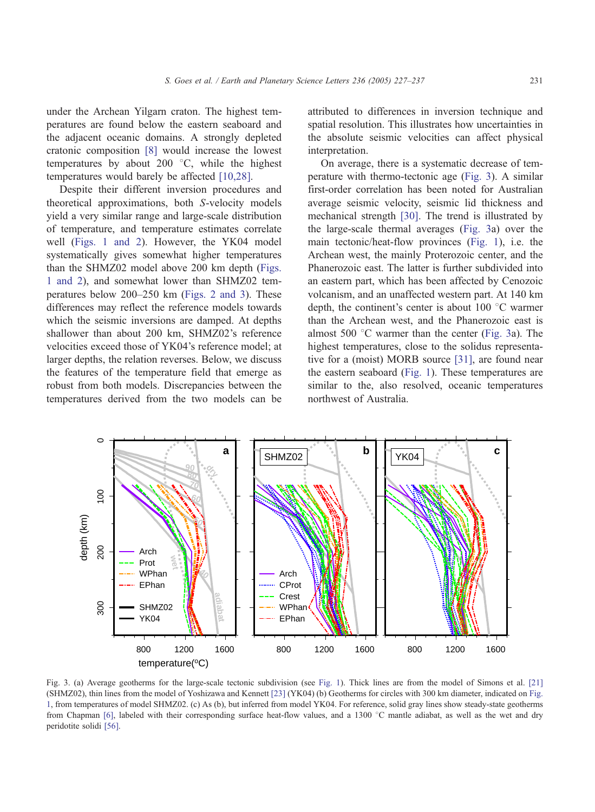<span id="page-4-0"></span>under the Archean Yilgarn craton. The highest temperatures are found below the eastern seaboard and the adjacent oceanic domains. A strongly depleted cratonic composition [\[8\]](#page-9-0) would increase the lowest temperatures by about 200  $^{\circ}$ C, while the highest temperatures would barely be affected [\[10,28\].](#page-9-0)

Despite their different inversion procedures and theoretical approximations, both S-velocity models yield a very similar range and large-scale distribution of temperature, and temperature estimates correlate well ([Figs. 1 and 2\)](#page-1-0). However, the YK04 model systematically gives somewhat higher temperatures than the SHMZ02 model above 200 km depth ([Figs.](#page-1-0) 1 and 2), and somewhat lower than SHMZ02 temperatures below 200–250 km ([Figs. 2 and 3\)](#page-3-0). These differences may reflect the reference models towards which the seismic inversions are damped. At depths shallower than about 200 km, SHMZ02's reference velocities exceed those of YK04's reference model; at larger depths, the relation reverses. Below, we discuss the features of the temperature field that emerge as robust from both models. Discrepancies between the temperatures derived from the two models can be

attributed to differences in inversion technique and spatial resolution. This illustrates how uncertainties in the absolute seismic velocities can affect physical interpretation.

On average, there is a systematic decrease of temperature with thermo-tectonic age (Fig. 3). A similar first-order correlation has been noted for Australian average seismic velocity, seismic lid thickness and mechanical strength [\[30\].](#page-10-0) The trend is illustrated by the large-scale thermal averages (Fig. 3a) over the main tectonic/heat-flow provinces ([Fig. 1\)](#page-1-0), i.e. the Archean west, the mainly Proterozoic center, and the Phanerozoic east. The latter is further subdivided into an eastern part, which has been affected by Cenozoic volcanism, and an unaffected western part. At 140 km depth, the continent's center is about  $100\degree C$  warmer than the Archean west, and the Phanerozoic east is almost 500  $\degree$ C warmer than the center (Fig. 3a). The highest temperatures, close to the solidus representative for a (moist) MORB source [\[31\],](#page-10-0) are found near the eastern seaboard ([Fig. 1\)](#page-1-0). These temperatures are similar to the, also resolved, oceanic temperatures northwest of Australia.



Fig. 3. (a) Average geotherms for the large-scale tectonic subdivision (see [Fig. 1\)](#page-1-0). Thick lines are from the model of Simons et al. [\[21\]](#page-9-0) (SHMZ02), thin lines from the model of Yoshizawa and Kennett [\[23\]](#page-9-0) (YK04) (b) Geotherms for circles with 300 km diameter, indicated on [Fig.](#page-1-0) 1, from temperatures of model SHMZ02. (c) As (b), but inferred from model YK04. For reference, solid gray lines show steady-state geotherms from Chapman [\[6\],](#page-9-0) labeled with their corresponding surface heat-flow values, and a 1300 °C mantle adiabat, as well as the wet and dry peridotite solidi [\[56\].](#page-10-0)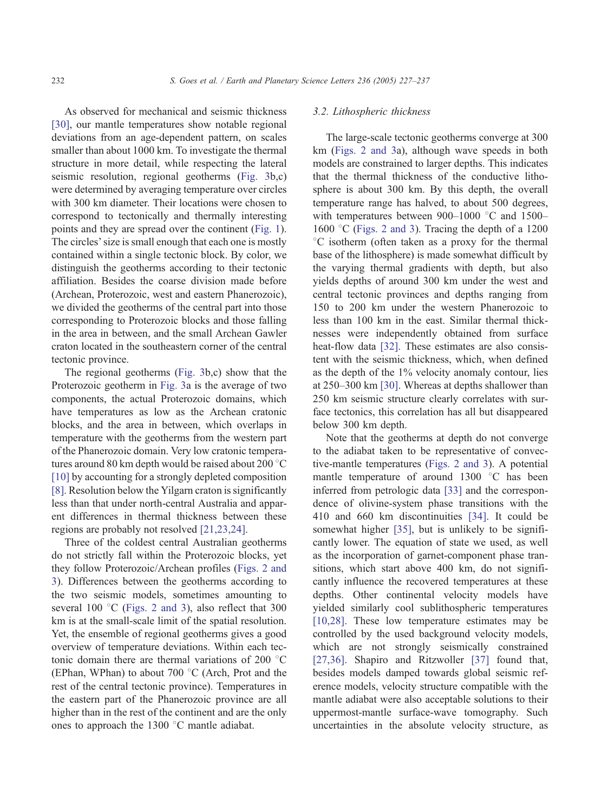As observed for mechanical and seismic thickness [\[30\],](#page-10-0) our mantle temperatures show notable regional deviations from an age-dependent pattern, on scales smaller than about 1000 km. To investigate the thermal structure in more detail, while respecting the lateral seismic resolution, regional geotherms ([Fig. 3b](#page-4-0),c) were determined by averaging temperature over circles with 300 km diameter. Their locations were chosen to correspond to tectonically and thermally interesting points and they are spread over the continent ([Fig. 1\)](#page-1-0). The circles' size is small enough that each one is mostly contained within a single tectonic block. By color, we distinguish the geotherms according to their tectonic affiliation. Besides the coarse division made before (Archean, Proterozoic, west and eastern Phanerozoic), we divided the geotherms of the central part into those corresponding to Proterozoic blocks and those falling in the area in between, and the small Archean Gawler craton located in the southeastern corner of the central tectonic province.

The regional geotherms ([Fig. 3b](#page-4-0),c) show that the Proterozoic geotherm in [Fig. 3a](#page-4-0) is the average of two components, the actual Proterozoic domains, which have temperatures as low as the Archean cratonic blocks, and the area in between, which overlaps in temperature with the geotherms from the western part of the Phanerozoic domain. Very low cratonic temperatures around 80 km depth would be raised about 200 °C [\[10\]](#page-9-0) by accounting for a strongly depleted composition [\[8\].](#page-9-0) Resolution below the Yilgarn craton is significantly less than that under north-central Australia and apparent differences in thermal thickness between these regions are probably not resolved [\[21,23,24\].](#page-9-0)

Three of the coldest central Australian geotherms do not strictly fall within the Proterozoic blocks, yet they follow Proterozoic/Archean profiles ([Figs. 2 and](#page-3-0) 3). Differences between the geotherms according to the two seismic models, sometimes amounting to several 100 $\degree$ C ([Figs. 2 and 3\)](#page-3-0), also reflect that 300 km is at the small-scale limit of the spatial resolution. Yet, the ensemble of regional geotherms gives a good overview of temperature deviations. Within each tectonic domain there are thermal variations of 200  $\degree$ C (EPhan, WPhan) to about 700 $\degree$ C (Arch, Prot and the rest of the central tectonic province). Temperatures in the eastern part of the Phanerozoic province are all higher than in the rest of the continent and are the only ones to approach the  $1300\text{ °C}$  mantle adiabat.

#### 3.2. Lithospheric thickness

The large-scale tectonic geotherms converge at 300 km ([Figs. 2 and 3a](#page-3-0)), although wave speeds in both models are constrained to larger depths. This indicates that the thermal thickness of the conductive lithosphere is about 300 km. By this depth, the overall temperature range has halved, to about 500 degrees, with temperatures between 900–1000  $^{\circ}$ C and 1500– 1600 °C ([Figs. 2 and 3\)](#page-3-0). Tracing the depth of a 1200  $\rm{^{\circ}C}$  isotherm (often taken as a proxy for the thermal base of the lithosphere) is made somewhat difficult by the varying thermal gradients with depth, but also yields depths of around 300 km under the west and central tectonic provinces and depths ranging from 150 to 200 km under the western Phanerozoic to less than 100 km in the east. Similar thermal thicknesses were independently obtained from surface heat-flow data [\[32\].](#page-10-0) These estimates are also consistent with the seismic thickness, which, when defined as the depth of the 1% velocity anomaly contour, lies at 250–300 km [\[30\].](#page-10-0) Whereas at depths shallower than 250 km seismic structure clearly correlates with surface tectonics, this correlation has all but disappeared below 300 km depth.

Note that the geotherms at depth do not converge to the adiabat taken to be representative of convective-mantle temperatures ([Figs. 2 and 3\)](#page-3-0). A potential mantle temperature of around  $1300$  °C has been inferred from petrologic data [\[33\]](#page-10-0) and the correspondence of olivine-system phase transitions with the 410 and 660 km discontinuities [\[34\].](#page-10-0) It could be somewhat higher [\[35\],](#page-10-0) but is unlikely to be significantly lower. The equation of state we used, as well as the incorporation of garnet-component phase transitions, which start above 400 km, do not significantly influence the recovered temperatures at these depths. Other continental velocity models have yielded similarly cool sublithospheric temperatures [\[10,28\].](#page-9-0) These low temperature estimates may be controlled by the used background velocity models, which are not strongly seismically constrained [\[27,36\].](#page-10-0) Shapiro and Ritzwoller [\[37\]](#page-10-0) found that, besides models damped towards global seismic reference models, velocity structure compatible with the mantle adiabat were also acceptable solutions to their uppermost-mantle surface-wave tomography. Such uncertainties in the absolute velocity structure, as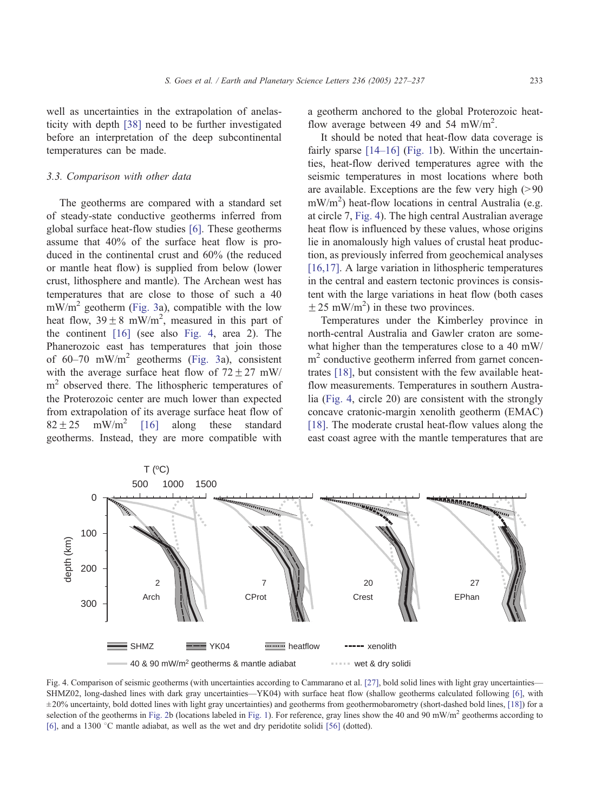<span id="page-6-0"></span>well as uncertainties in the extrapolation of anelasticity with depth [\[38\]](#page-10-0) need to be further investigated before an interpretation of the deep subcontinental temperatures can be made.

# 3.3. Comparison with other data

The geotherms are compared with a standard set of steady-state conductive geotherms inferred from global surface heat-flow studies [\[6\].](#page-9-0) These geotherms assume that 40% of the surface heat flow is produced in the continental crust and 60% (the reduced or mantle heat flow) is supplied from below (lower crust, lithosphere and mantle). The Archean west has temperatures that are close to those of such a 40  $mW/m<sup>2</sup>$  geotherm ([Fig. 3a](#page-4-0)), compatible with the low heat flow,  $39 \pm 8$  mW/m<sup>2</sup>, measured in this part of the continent [\[16\]](#page-9-0) (see also Fig. 4, area 2). The Phanerozoic east has temperatures that join those of  $60-70$  mW/m<sup>2</sup> geotherms ([Fig. 3a](#page-4-0)), consistent with the average surface heat flow of  $72 \pm 27$  mW/ m<sup>2</sup> observed there. The lithospheric temperatures of the Proterozoic center are much lower than expected from extrapolation of its average surface heat flow of  $82 \pm 25$  mW/m<sup>2</sup> [\[16\]](#page-9-0) along these standard geotherms. Instead, they are more compatible with

a geotherm anchored to the global Proterozoic heatflow average between 49 and 54 mW/m<sup>2</sup>.

It should be noted that heat-flow data coverage is fairly sparse [\[14–16\]](#page-9-0) ([Fig. 1b](#page-1-0)). Within the uncertainties, heat-flow derived temperatures agree with the seismic temperatures in most locations where both are available. Exceptions are the few very high  $(>90$ mW/m<sup>2</sup>) heat-flow locations in central Australia (e.g. at circle 7, Fig. 4). The high central Australian average heat flow is influenced by these values, whose origins lie in anomalously high values of crustal heat production, as previously inferred from geochemical analyses [\[16,17\].](#page-9-0) A large variation in lithospheric temperatures in the central and eastern tectonic provinces is consistent with the large variations in heat flow (both cases  $\pm$  25 mW/m<sup>2</sup>) in these two provinces.

Temperatures under the Kimberley province in north-central Australia and Gawler craton are somewhat higher than the temperatures close to a 40 mW/  $m<sup>2</sup>$  conductive geotherm inferred from garnet concentrates [\[18\],](#page-9-0) but consistent with the few available heatflow measurements. Temperatures in southern Australia (Fig. 4, circle 20) are consistent with the strongly concave cratonic-margin xenolith geotherm (EMAC) [\[18\].](#page-9-0) The moderate crustal heat-flow values along the east coast agree with the mantle temperatures that are



Fig. 4. Comparison of seismic geotherms (with uncertainties according to Cammarano et al. [\[27\],](#page-10-0) bold solid lines with light gray uncertainties— SHMZ02, long-dashed lines with dark gray uncertainties—YK04) with surface heat flow (shallow geotherms calculated following [\[6\],](#page-9-0) with ± 20% uncertainty, bold dotted lines with light gray uncertainties) and geotherms from geothermobarometry (short-dashed bold lines, [\[18\]\)](#page-9-0) for a selection of the geotherms in [Fig. 2b](#page-3-0) (locations labeled in [Fig. 1\)](#page-1-0). For reference, gray lines show the 40 and 90 mW/m<sup>2</sup> geotherms according to [\[6\],](#page-9-0) and a 1300 °C mantle adiabat, as well as the wet and dry peridotite solidi [\[56\]](#page-10-0) (dotted).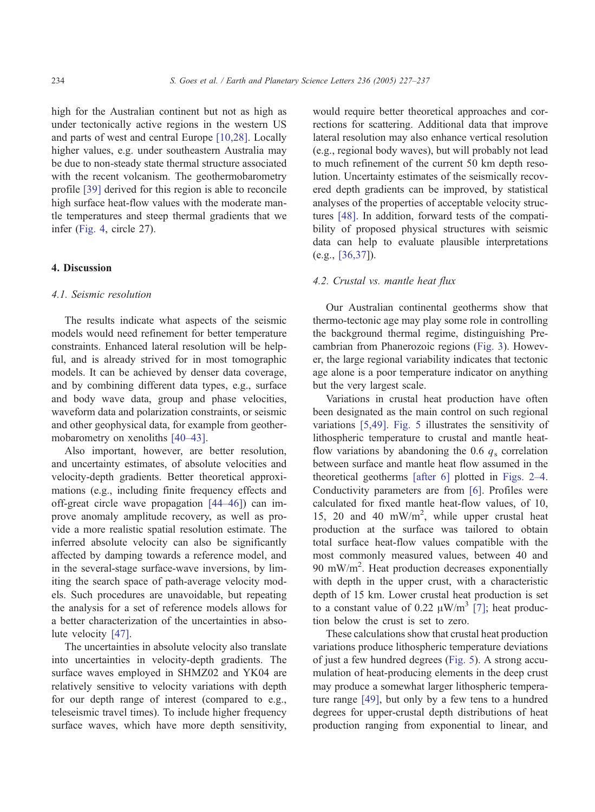high for the Australian continent but not as high as under tectonically active regions in the western US and parts of west and central Europe [\[10,28\].](#page-9-0) Locally higher values, e.g. under southeastern Australia may be due to non-steady state thermal structure associated with the recent volcanism. The geothermobarometry profile [\[39\]](#page-10-0) derived for this region is able to reconcile high surface heat-flow values with the moderate mantle temperatures and steep thermal gradients that we infer [\(Fig. 4,](#page-6-0) circle 27).

#### 4. Discussion

# 4.1. Seismic resolution

The results indicate what aspects of the seismic models would need refinement for better temperature constraints. Enhanced lateral resolution will be helpful, and is already strived for in most tomographic models. It can be achieved by denser data coverage, and by combining different data types, e.g., surface and body wave data, group and phase velocities, waveform data and polarization constraints, or seismic and other geophysical data, for example from geothermobarometry on xenoliths [\[40–43\].](#page-10-0)

Also important, however, are better resolution, and uncertainty estimates, of absolute velocities and velocity-depth gradients. Better theoretical approximations (e.g., including finite frequency effects and off-great circle wave propagation [\[44–46\]\)](#page-10-0) can improve anomaly amplitude recovery, as well as provide a more realistic spatial resolution estimate. The inferred absolute velocity can also be significantly affected by damping towards a reference model, and in the several-stage surface-wave inversions, by limiting the search space of path-average velocity models. Such procedures are unavoidable, but repeating the analysis for a set of reference models allows for a better characterization of the uncertainties in absolute velocity [\[47\].](#page-10-0)

The uncertainties in absolute velocity also translate into uncertainties in velocity-depth gradients. The surface waves employed in SHMZ02 and YK04 are relatively sensitive to velocity variations with depth for our depth range of interest (compared to e.g., teleseismic travel times). To include higher frequency surface waves, which have more depth sensitivity, would require better theoretical approaches and corrections for scattering. Additional data that improve lateral resolution may also enhance vertical resolution (e.g., regional body waves), but will probably not lead to much refinement of the current 50 km depth resolution. Uncertainty estimates of the seismically recovered depth gradients can be improved, by statistical analyses of the properties of acceptable velocity structures [\[48\].](#page-10-0) In addition, forward tests of the compatibility of proposed physical structures with seismic data can help to evaluate plausible interpretations (e.g., [\[36,37\]](#page-10-0)).

# 4.2. Crustal vs. mantle heat flux

Our Australian continental geotherms show that thermo-tectonic age may play some role in controlling the background thermal regime, distinguishing Precambrian from Phanerozoic regions ([Fig. 3\)](#page-4-0). However, the large regional variability indicates that tectonic age alone is a poor temperature indicator on anything but the very largest scale.

Variations in crustal heat production have often been designated as the main control on such regional variations [\[5,49\].](#page-9-0) [Fig. 5](#page-8-0) illustrates the sensitivity of lithospheric temperature to crustal and mantle heatflow variations by abandoning the 0.6  $q_s$  correlation between surface and mantle heat flow assumed in the theoretical geotherms [\[after 6\]](#page-9-0) plotted in [Figs. 2–4.](#page-3-0) Conductivity parameters are from [\[6\].](#page-9-0) Profiles were calculated for fixed mantle heat-flow values, of 10, 15, 20 and 40 mW/m<sup>2</sup>, while upper crustal heat production at the surface was tailored to obtain total surface heat-flow values compatible with the most commonly measured values, between 40 and 90 mW/m<sup>2</sup>. Heat production decreases exponentially with depth in the upper crust, with a characteristic depth of 15 km. Lower crustal heat production is set to a constant value of 0.22  $\mu$ W/m<sup>3</sup> [\[7\];](#page-9-0) heat production below the crust is set to zero.

These calculations show that crustal heat production variations produce lithospheric temperature deviations of just a few hundred degrees ([Fig. 5\)](#page-8-0). A strong accumulation of heat-producing elements in the deep crust may produce a somewhat larger lithospheric temperature range [\[49\],](#page-10-0) but only by a few tens to a hundred degrees for upper-crustal depth distributions of heat production ranging from exponential to linear, and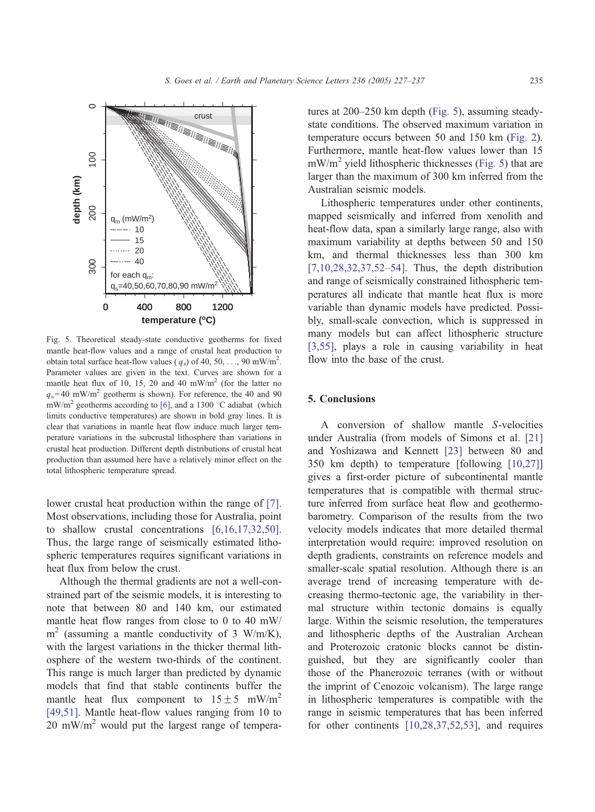<span id="page-8-0"></span>

Fig. 5. Theoretical steady-state conductive geotherms for fixed mantle heat-flow values and a range of crustal heat production to obtain total surface heat-flow values ( $q_s$ ) of 40, 50, ..., 90 mW/m<sup>2</sup>. Parameter values are given in the text. Curves are shown for a mantle heat flux of 10, 15, 20 and 40 mW/ $m<sup>2</sup>$  (for the latter no  $q_s$ =40 mW/m<sup>2</sup> geotherm is shown). For reference, the 40 and 90 mW/m<sup>2</sup> geotherms according to [\[6\],](#page-9-0) and a 1300 °C adiabat (which limits conductive temperatures) are shown in bold gray lines. It is clear that variations in mantle heat flow induce much larger temperature variations in the subcrustal lithosphere than variations in crustal heat production. Different depth distributions of crustal heat production than assumed here have a relatively minor effect on the total lithospheric temperature spread.

lower crustal heat production within the range of [\[7\].](#page-9-0) Most observations, including those for Australia, point to shallow crustal concentrations [\[6,16,17,32,50\].](#page-9-0) Thus, the large range of seismically estimated lithospheric temperatures requires significant variations in heat flux from below the crust.

Although the thermal gradients are not a well-constrained part of the seismic models, it is interesting to note that between 80 and 140 km, our estimated mantle heat flow ranges from close to 0 to 40 mW/  $m<sup>2</sup>$  (assuming a mantle conductivity of 3 W/m/K), with the largest variations in the thicker thermal lithosphere of the western two-thirds of the continent. This range is much larger than predicted by dynamic models that find that stable continents buffer the mantle heat flux component to  $15±5$  mW/m<sup>2</sup> [\[49,51\].](#page-10-0) Mantle heat-flow values ranging from 10 to  $20 \text{ mW/m}^2$  would put the largest range of temperatures at 200–250 km depth (Fig. 5), assuming steadystate conditions. The observed maximum variation in temperature occurs between 50 and 150 km ([Fig. 2\)](#page-3-0). Furthermore, mantle heat-flow values lower than 15  $mW/m<sup>2</sup>$  yield lithospheric thicknesses (Fig. 5) that are larger than the maximum of 300 km inferred from the Australian seismic models.

Lithospheric temperatures under other continents, mapped seismically and inferred from xenolith and heat-flow data, span a similarly large range, also with maximum variability at depths between 50 and 150 km, and thermal thicknesses less than 300 km [\[7,10,28,32,37,52–54\].](#page-9-0) Thus, the depth distribution and range of seismically constrained lithospheric temperatures all indicate that mantle heat flux is more variable than dynamic models have predicted. Possibly, small-scale convection, which is suppressed in many models but can affect lithospheric structure [\[3,55\],](#page-9-0) plays a role in causing variability in heat flow into the base of the crust.

# 5. Conclusions

A conversion of shallow mantle S-velocities under Australia (from models of Simons et al. [\[21\]](#page-9-0) and Yoshizawa and Kennett [\[23\]](#page-9-0) between 80 and 350 km depth) to temperature [following [\[10,27\]\]](#page-9-0) gives a first-order picture of subcontinental mantle temperatures that is compatible with thermal structure inferred from surface heat flow and geothermobarometry. Comparison of the results from the two velocity models indicates that more detailed thermal interpretation would require: improved resolution on depth gradients, constraints on reference models and smaller-scale spatial resolution. Although there is an average trend of increasing temperature with decreasing thermo-tectonic age, the variability in thermal structure within tectonic domains is equally large. Within the seismic resolution, the temperatures and lithospheric depths of the Australian Archean and Proterozoic cratonic blocks cannot be distinguished, but they are significantly cooler than those of the Phanerozoic terranes (with or without the imprint of Cenozoic volcanism). The large range in lithospheric temperatures is compatible with the range in seismic temperatures that has been inferred for other continents [\[10,28,37,52,53\],](#page-9-0) and requires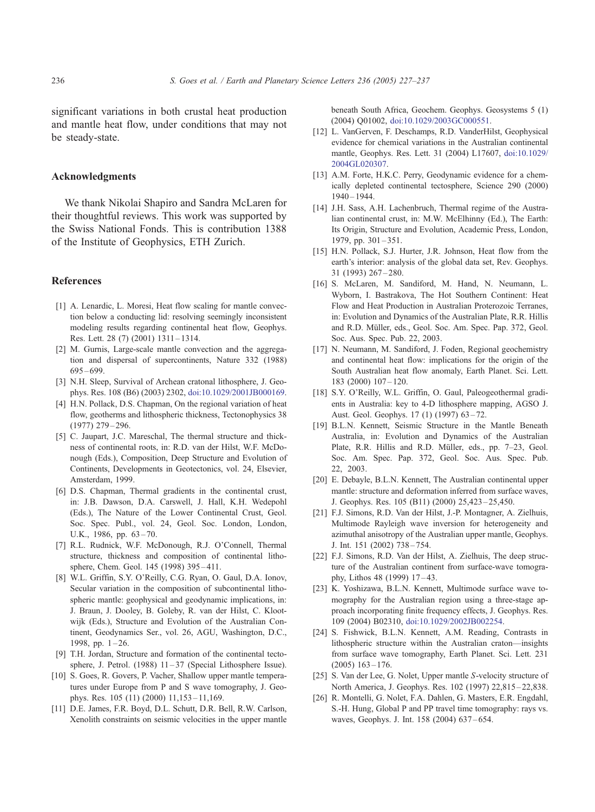<span id="page-9-0"></span>significant variations in both crustal heat production and mantle heat flow, under conditions that may not be steady-state.

#### Acknowledgments

We thank Nikolai Shapiro and Sandra McLaren for their thoughtful reviews. This work was supported by the Swiss National Fonds. This is contribution 1388 of the Institute of Geophysics, ETH Zurich.

#### References

- [1] A. Lenardic, L. Moresi, Heat flow scaling for mantle convection below a conducting lid: resolving seemingly inconsistent modeling results regarding continental heat flow, Geophys. Res. Lett. 28 (7) (2001) 1311 – 1314.
- [2] M. Gurnis, Large-scale mantle convection and the aggregation and dispersal of supercontinents, Nature 332 (1988) 695 – 699.
- [3] N.H. Sleep, Survival of Archean cratonal lithosphere, J. Geophys. Res. 108 (B6) (2003) 2302, doi:10.1029/2001JB000169.
- [4] H.N. Pollack, D.S. Chapman, On the regional variation of heat flow, geotherms and lithospheric thickness, Tectonophysics 38  $(1977)$  279 – 296.
- [5] C. Jaupart, J.C. Mareschal, The thermal structure and thickness of continental roots, in: R.D. van der Hilst, W.F. McDonough (Eds.), Composition, Deep Structure and Evolution of Continents, Developments in Geotectonics, vol. 24, Elsevier, Amsterdam, 1999.
- [6] D.S. Chapman, Thermal gradients in the continental crust, in: J.B. Dawson, D.A. Carswell, J. Hall, K.H. Wedepohl (Eds.), The Nature of the Lower Continental Crust, Geol. Soc. Spec. Publ., vol. 24, Geol. Soc. London, London, U.K., 1986, pp. 63–70.
- [7] R.L. Rudnick, W.F. McDonough, R.J. O'Connell, Thermal structure, thickness and composition of continental lithosphere, Chem. Geol. 145 (1998) 395-411.
- [8] W.L. Griffin, S.Y. O'Reilly, C.G. Ryan, O. Gaul, D.A. Ionov, Secular variation in the composition of subcontinental lithospheric mantle: geophysical and geodynamic implications, in: J. Braun, J. Dooley, B. Goleby, R. van der Hilst, C. Klootwijk (Eds.), Structure and Evolution of the Australian Continent, Geodynamics Ser., vol. 26, AGU, Washington, D.C., 1998, pp. 1-26.
- [9] T.H. Jordan, Structure and formation of the continental tectosphere, J. Petrol. (1988) 11-37 (Special Lithosphere Issue).
- [10] S. Goes, R. Govers, P. Vacher, Shallow upper mantle temperatures under Europe from P and S wave tomography, J. Geophys. Res. 105 (11) (2000) 11,153 – 11,169.
- [11] D.E. James, F.R. Boyd, D.L. Schutt, D.R. Bell, R.W. Carlson, Xenolith constraints on seismic velocities in the upper mantle

beneath South Africa, Geochem. Geophys. Geosystems 5 (1) (2004) Q01002, doi:10.1029/2003GC000551.

- [12] L. VanGerven, F. Deschamps, R.D. VanderHilst, Geophysical evidence for chemical variations in the Australian continental mantle, Geophys. Res. Lett. 31 (2004) L17607, doi:10.1029/ 2004GL020307.
- [13] A.M. Forte, H.K.C. Perry, Geodynamic evidence for a chemically depleted continental tectosphere, Science 290 (2000) 1940 – 1944.
- [14] J.H. Sass, A.H. Lachenbruch, Thermal regime of the Australian continental crust, in: M.W. McElhinny (Ed.), The Earth: Its Origin, Structure and Evolution, Academic Press, London, 1979, pp. 301 – 351.
- [15] H.N. Pollack, S.J. Hurter, J.R. Johnson, Heat flow from the earth's interior: analysis of the global data set, Rev. Geophys. 31 (1993) 267 – 280.
- [16] S. McLaren, M. Sandiford, M. Hand, N. Neumann, L. Wyborn, I. Bastrakova, The Hot Southern Continent: Heat Flow and Heat Production in Australian Proterozoic Terranes, in: Evolution and Dynamics of the Australian Plate, R.R. Hillis and R.D. Müller, eds., Geol. Soc. Am. Spec. Pap. 372, Geol. Soc. Aus. Spec. Pub. 22, 2003.
- [17] N. Neumann, M. Sandiford, J. Foden, Regional geochemistry and continental heat flow: implications for the origin of the South Australian heat flow anomaly, Earth Planet. Sci. Lett. 183 (2000) 107 – 120.
- [18] S.Y. O'Reilly, W.L. Griffin, O. Gaul, Paleogeothermal gradients in Australia: key to 4-D lithosphere mapping, AGSO J. Aust. Geol. Geophys. 17 (1) (1997) 63-72.
- [19] B.L.N. Kennett, Seismic Structure in the Mantle Beneath Australia, in: Evolution and Dynamics of the Australian Plate, R.R. Hillis and R.D. Müller, eds., pp. 7-23, Geol. Soc. Am. Spec. Pap. 372, Geol. Soc. Aus. Spec. Pub. 22, 2003.
- [20] E. Debayle, B.L.N. Kennett, The Australian continental upper mantle: structure and deformation inferred from surface waves, J. Geophys. Res. 105 (B11) (2000) 25,423 – 25,450.
- [21] F.J. Simons, R.D. Van der Hilst, J.-P. Montagner, A. Zielhuis, Multimode Rayleigh wave inversion for heterogeneity and azimuthal anisotropy of the Australian upper mantle, Geophys. J. Int. 151 (2002) 738 – 754.
- [22] F.J. Simons, R.D. Van der Hilst, A. Zielhuis, The deep structure of the Australian continent from surface-wave tomography, Lithos 48 (1999) 17 – 43.
- [23] K. Yoshizawa, B.L.N. Kennett, Multimode surface wave tomography for the Australian region using a three-stage approach incorporating finite frequency effects, J. Geophys. Res. 109 (2004) B02310, doi:10.1029/2002JB002254.
- [24] S. Fishwick, B.L.N. Kennett, A.M. Reading, Contrasts in lithospheric structure within the Australian craton—insights from surface wave tomography, Earth Planet. Sci. Lett. 231  $(2005)$  163 – 176.
- [25] S. Van der Lee, G. Nolet, Upper mantle S-velocity structure of North America, J. Geophys. Res. 102 (1997) 22,815-22,838.
- [26] R. Montelli, G. Nolet, F.A. Dahlen, G. Masters, E.R. Engdahl, S.-H. Hung, Global P and PP travel time tomography: rays vs. waves, Geophys. J. Int. 158 (2004) 637-654.